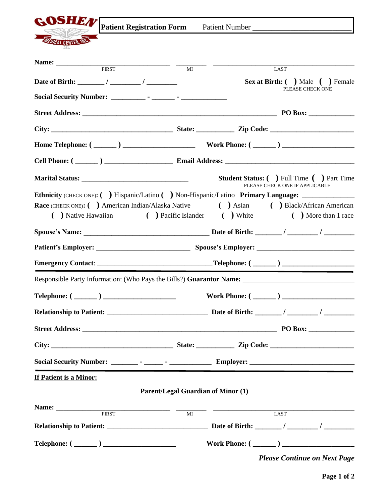

**GOSHEN** Patient Registration Form Patient Number

|                     | <u>ji autin Kegisu auvii Furin</u> |    | I attent in the post |      |
|---------------------|------------------------------------|----|----------------------|------|
|                     |                                    |    |                      |      |
| $Q$ <sub>THIT</sub> |                                    |    |                      |      |
|                     |                                    |    |                      |      |
|                     |                                    |    |                      |      |
| Name:               |                                    |    |                      |      |
|                     | <b>FIRST</b>                       | МI |                      | LAST |

|                                                    | <b>Sex at Birth:</b> ( ) Male ( ) Female                                                             |
|----------------------------------------------------|------------------------------------------------------------------------------------------------------|
|                                                    | PLEASE CHECK ONE                                                                                     |
|                                                    |                                                                                                      |
|                                                    |                                                                                                      |
|                                                    |                                                                                                      |
|                                                    |                                                                                                      |
|                                                    | <b>Student Status:</b> ( ) Full Time ( ) Part Time<br>PLEASE CHECK ONE IF APPLICABLE                 |
|                                                    | Ethnicity (CHECK ONE): ( ) Hispanic/Latino ( ) Non-Hispanic/Latino Primary Language: ______________  |
|                                                    | Race (CHECK ONE): ( ) American Indian/Alaska Native ( ) Asian ( ) Black/African American             |
|                                                    | ( ) Native Hawaiian ( ) Pacific Islander ( ) White ( ) More than 1 race                              |
|                                                    |                                                                                                      |
|                                                    |                                                                                                      |
|                                                    |                                                                                                      |
|                                                    | Responsible Party Information: (Who Pays the Bills?) Guarantor Name: _______________________________ |
|                                                    |                                                                                                      |
|                                                    |                                                                                                      |
|                                                    |                                                                                                      |
|                                                    |                                                                                                      |
|                                                    |                                                                                                      |
| If Patient is a Minor:                             |                                                                                                      |
|                                                    | <b>Parent/Legal Guardian of Minor (1)</b>                                                            |
| <u> 1980 - Andrea Andrew Maria III, martin a f</u> |                                                                                                      |
| <b>FIRST</b>                                       | <b>LAST</b><br>MI                                                                                    |
|                                                    |                                                                                                      |
|                                                    | Work Phone: $(\_\_)$                                                                                 |
|                                                    | <b>Please Continue on Next Page</b>                                                                  |